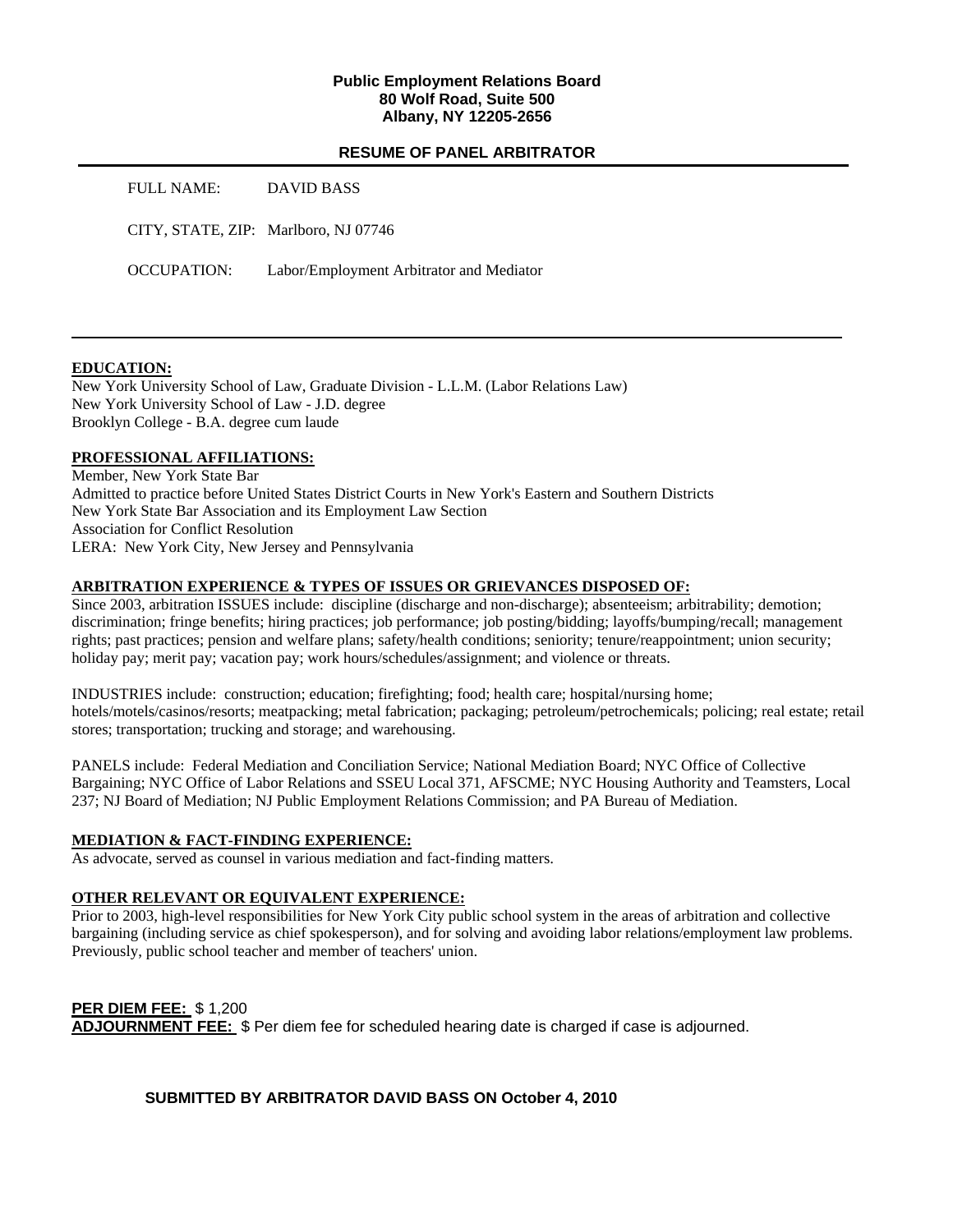## **Public Employment Relations Board 80 Wolf Road, Suite 500 Albany, NY 12205-2656**

#### **RESUME OF PANEL ARBITRATOR**

| FULL NAME:         | DAVID BASS                               |
|--------------------|------------------------------------------|
|                    | CITY, STATE, ZIP: Marlboro, NJ 07746     |
| <b>OCCUPATION:</b> | Labor/Employment Arbitrator and Mediator |

## **EDUCATION:**

New York University School of Law, Graduate Division - L.L.M. (Labor Relations Law) New York University School of Law - J.D. degree Brooklyn College - B.A. degree cum laude

#### **PROFESSIONAL AFFILIATIONS:**

Member, New York State Bar Admitted to practice before United States District Courts in New York's Eastern and Southern Districts New York State Bar Association and its Employment Law Section Association for Conflict Resolution LERA: New York City, New Jersey and Pennsylvania

#### **ARBITRATION EXPERIENCE & TYPES OF ISSUES OR GRIEVANCES DISPOSED OF:**

Since 2003, arbitration ISSUES include: discipline (discharge and non-discharge); absenteeism; arbitrability; demotion; discrimination; fringe benefits; hiring practices; job performance; job posting/bidding; layoffs/bumping/recall; management rights; past practices; pension and welfare plans; safety/health conditions; seniority; tenure/reappointment; union security; holiday pay; merit pay; vacation pay; work hours/schedules/assignment; and violence or threats.

INDUSTRIES include: construction; education; firefighting; food; health care; hospital/nursing home; hotels/motels/casinos/resorts; meatpacking; metal fabrication; packaging; petroleum/petrochemicals; policing; real estate; retail stores; transportation; trucking and storage; and warehousing.

PANELS include: Federal Mediation and Conciliation Service; National Mediation Board; NYC Office of Collective Bargaining; NYC Office of Labor Relations and SSEU Local 371, AFSCME; NYC Housing Authority and Teamsters, Local 237; NJ Board of Mediation; NJ Public Employment Relations Commission; and PA Bureau of Mediation.

#### **MEDIATION & FACT-FINDING EXPERIENCE:**

As advocate, served as counsel in various mediation and fact-finding matters.

#### **OTHER RELEVANT OR EQUIVALENT EXPERIENCE:**

Prior to 2003, high-level responsibilities for New York City public school system in the areas of arbitration and collective bargaining (including service as chief spokesperson), and for solving and avoiding labor relations/employment law problems. Previously, public school teacher and member of teachers' union.

**PER DIEM FEE:** \$ 1,200 **ADJOURNMENT FEE:** \$ Per diem fee for scheduled hearing date is charged if case is adjourned.

## **SUBMITTED BY ARBITRATOR DAVID BASS ON October 4, 2010**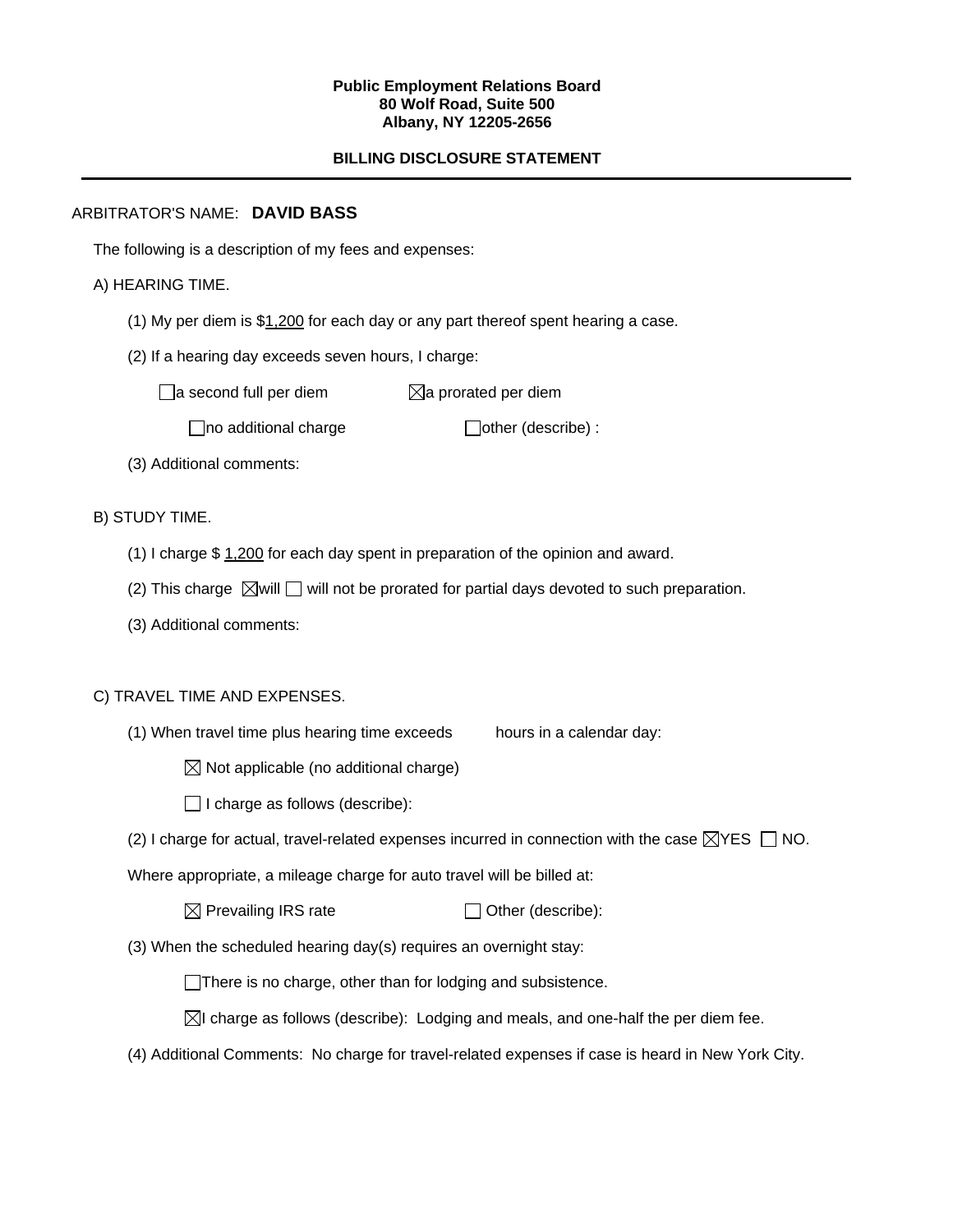#### **Public Employment Relations Board 80 Wolf Road, Suite 500 Albany, NY 12205-2656**

# **BILLING DISCLOSURE STATEMENT**

## ARBITRATOR'S NAME: **DAVID BASS**

The following is a description of my fees and expenses:

# A) HEARING TIME.

- (1) My per diem is \$1,200 for each day or any part thereof spent hearing a case.
- (2) If a hearing day exceeds seven hours, I charge:

 $\Box$ a second full per diem  $\boxtimes$ a prorated per diem

 $\Box$ no additional charge  $\Box$ other (describe) :

(3) Additional comments:

B) STUDY TIME.

- (1) I charge \$ 1,200 for each day spent in preparation of the opinion and award.
- (2) This charge  $\boxtimes$  will  $\Box$  will not be prorated for partial days devoted to such preparation.
- (3) Additional comments:

## C) TRAVEL TIME AND EXPENSES.

- (1) When travel time plus hearing time exceeds hours in a calendar day:
	- $\boxtimes$  Not applicable (no additional charge)
	- $\Box$  I charge as follows (describe):
- (2) I charge for actual, travel-related expenses incurred in connection with the case  $\boxtimes$ YES  $\Box$  NO.

Where appropriate, a mileage charge for auto travel will be billed at:

| $\boxtimes$ Prevailing IRS rate | $\Box$ Other (describe): |
|---------------------------------|--------------------------|
|---------------------------------|--------------------------|

(3) When the scheduled hearing day(s) requires an overnight stay:

There is no charge, other than for lodging and subsistence.

 $\boxtimes$ I charge as follows (describe): Lodging and meals, and one-half the per diem fee.

(4) Additional Comments: No charge for travel-related expenses if case is heard in New York City.